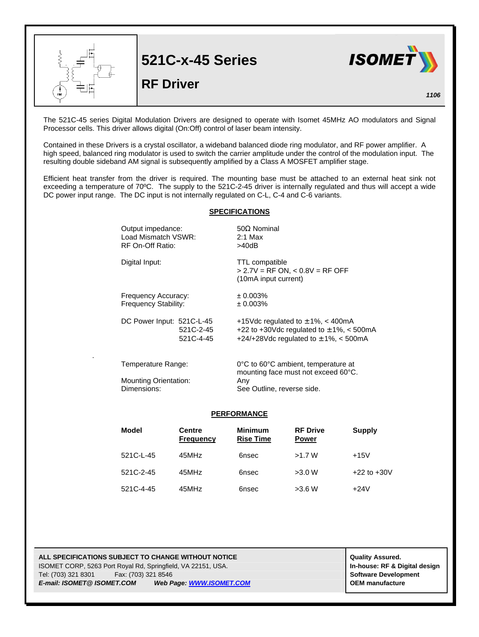|           | <b>521C-x-45 Series</b><br><b>RF Driver</b> | <b>ISOMET</b> |
|-----------|---------------------------------------------|---------------|
| <b>FM</b> |                                             | 1106          |

The 521C-45 series Digital Modulation Drivers are designed to operate with Isomet 45MHz AO modulators and Signal Processor cells. This driver allows digital (On:Off) control of laser beam intensity.

Contained in these Drivers is a crystal oscillator, a wideband balanced diode ring modulator, and RF power amplifier. A high speed, balanced ring modulator is used to switch the carrier amplitude under the control of the modulation input. The resulting double sideband AM signal is subsequently amplified by a Class A MOSFET amplifier stage.

Efficient heat transfer from the driver is required. The mounting base must be attached to an external heat sink not exceeding a temperature of 70°C. The supply to the 521C-2-45 driver is internally regulated and thus will accept a wide DC power input range. The DC input is not internally regulated on C-L, C-4 and C-6 variants.

## **SPECIFICATIONS**

| Output impedance:            | $50\Omega$ Nominal                                                                  |  |  |
|------------------------------|-------------------------------------------------------------------------------------|--|--|
| Load Mismatch VSWR:          | $2:1$ Max                                                                           |  |  |
| RF On-Off Ratio:             | >40dB                                                                               |  |  |
| Digital Input:               | <b>TTL</b> compatible<br>$> 2.7V = RF ON$ , < 0.8V = RF OFF<br>(10mA input current) |  |  |
| Frequency Accuracy:          | ± 0.003%                                                                            |  |  |
| Frequency Stability:         | ± 0.003%                                                                            |  |  |
| DC Power Input: 521C-L-45    | +15Vdc regulated to $\pm$ 1%, < 400mA                                               |  |  |
| 521C-2-45                    | +22 to +30Vdc regulated to $\pm$ 1%, < 500mA                                        |  |  |
| 521C-4-45                    | +24/+28Vdc regulated to $\pm$ 1%, < 500mA                                           |  |  |
| Temperature Range:           | 0°C to 60°C ambient, temperature at<br>mounting face must not exceed 60°C.          |  |  |
| <b>Mounting Orientation:</b> | Any                                                                                 |  |  |
| Dimensions:                  | See Outline, reverse side.                                                          |  |  |

## **PERFORMANCE**

| Model     | Centre<br><b>Frequency</b> | <b>Minimum</b><br><b>Rise Time</b> | <b>RF Drive</b><br><b>Power</b> | Supply          |
|-----------|----------------------------|------------------------------------|---------------------------------|-----------------|
| 521C-L-45 | 45MHz                      | 6nsec                              | >1.7 W                          | $+15V$          |
| 521C-2-45 | 45MHz                      | 6nsec                              | >3.0 W                          | $+22$ to $+30V$ |
| 521C-4-45 | 45MHz                      | 6nsec                              | >3.6 W                          | $+24V$          |

**ALL SPECIFICATIONS SUBJECT TO CHANGE WITHOUT NOTICE ALL SPECIFICATIONS SUBJECT TO CHANGE WITHOUT NOTICE** ISOMET CORP, 5263 Port Royal Rd, Springfield, VA 22151, USA. **In-house: RF & Digital design** Tel: (703) 321 8301 Fax: (703) 321 8546 **Software Development** *E-mail: ISOMET@ ISOMET.COM Web Page: WWW.ISOMET.COM* **OEM manufacture**

.